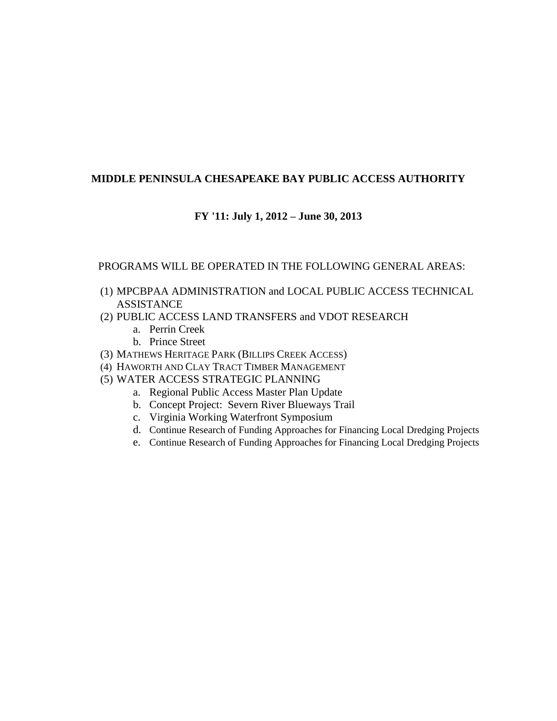# **MIDDLE PENINSULA CHESAPEAKE BAY PUBLIC ACCESS AUTHORITY**

# **FY '11: July 1, 2012 – June 30, 2013**

### PROGRAMS WILL BE OPERATED IN THE FOLLOWING GENERAL AREAS:

- (1) MPCBPAA ADMINISTRATION and LOCAL PUBLIC ACCESS TECHNICAL ASSISTANCE
- (2) PUBLIC ACCESS LAND TRANSFERS and VDOT RESEARCH
	- a. Perrin Creek
	- b. Prince Street
- (3) MATHEWS HERITAGE PARK (BILLIPS CREEK ACCESS)
- (4) HAWORTH AND CLAY TRACT TIMBER MANAGEMENT
- (5) WATER ACCESS STRATEGIC PLANNING
	- a. Regional Public Access Master Plan Update
	- b. Concept Project: Severn River Blueways Trail
	- c. Virginia Working Waterfront Symposium
	- d. Continue Research of Funding Approaches for Financing Local Dredging Projects
	- e. Continue Research of Funding Approaches for Financing Local Dredging Projects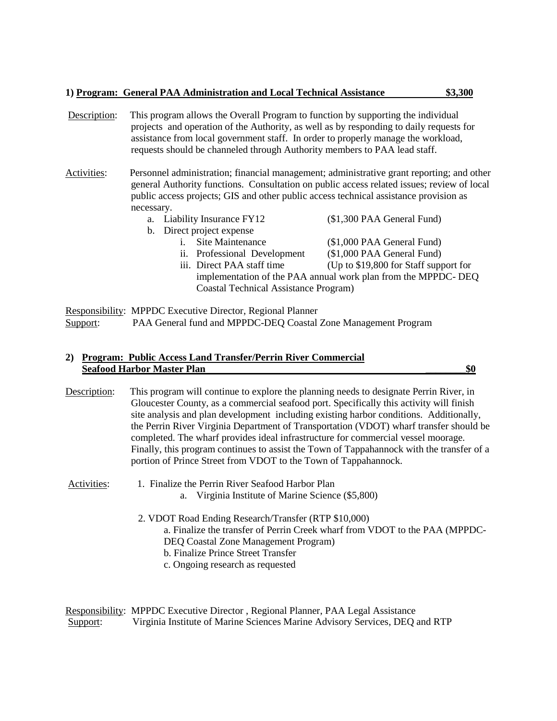|  |  | 1) Program: General PAA Administration and Local Technical Assistance | \$3,300 |  |
|--|--|-----------------------------------------------------------------------|---------|--|
|  |  |                                                                       |         |  |

Description: This program allows the Overall Program to function by supporting the individual projects and operation of the Authority, as well as by responding to daily requests for assistance from local government staff. In order to properly manage the workload, requests should be channeled through Authority members to PAA lead staff.

Activities: Personnel administration; financial management; administrative grant reporting; and other general Authority functions. Consultation on public access related issues; review of local public access projects; GIS and other public access technical assistance provision as necessary.

| a. Liability Insurance FY12                                   |                                       | (\$1,300 PAA General Fund)            |  |
|---------------------------------------------------------------|---------------------------------------|---------------------------------------|--|
|                                                               | b. Direct project expense             |                                       |  |
| $\mathbf{i}$ .                                                | Site Maintenance                      | (\$1,000 PAA General Fund)            |  |
|                                                               | ii. Professional Development          | (\$1,000 PAA General Fund)            |  |
|                                                               | iii. Direct PAA staff time            | (Up to \$19,800 for Staff support for |  |
| implementation of the PAA annual work plan from the MPPDC-DEQ |                                       |                                       |  |
|                                                               | Coastal Technical Assistance Program) |                                       |  |

Responsibility: MPPDC Executive Director, Regional Planner Support: PAA General fund and MPPDC-DEQ Coastal Zone Management Program

### **2) Program: Public Access Land Transfer/Perrin River Commercial Seafood Harbor Master Plan \_\_\_\_\_\_\_\_\$0**

Description: This program will continue to explore the planning needs to designate Perrin River, in Gloucester County, as a commercial seafood port. Specifically this activity will finish site analysis and plan development including existing harbor conditions. Additionally, the Perrin River Virginia Department of Transportation (VDOT) wharf transfer should be completed. The wharf provides ideal infrastructure for commercial vessel moorage. Finally, this program continues to assist the Town of Tappahannock with the transfer of a portion of Prince Street from VDOT to the Town of Tappahannock.

Activities: 1. Finalize the Perrin River Seafood Harbor Plan

- a. Virginia Institute of Marine Science (\$5,800)
- 2. VDOT Road Ending Research/Transfer (RTP \$10,000) a. Finalize the transfer of Perrin Creek wharf from VDOT to the PAA (MPPDC-DEQ Coastal Zone Management Program) b. Finalize Prince Street Transfer c. Ongoing research as requested

Responsibility: MPPDC Executive Director , Regional Planner, PAA Legal Assistance Support: Virginia Institute of Marine Sciences Marine Advisory Services, DEQ and RTP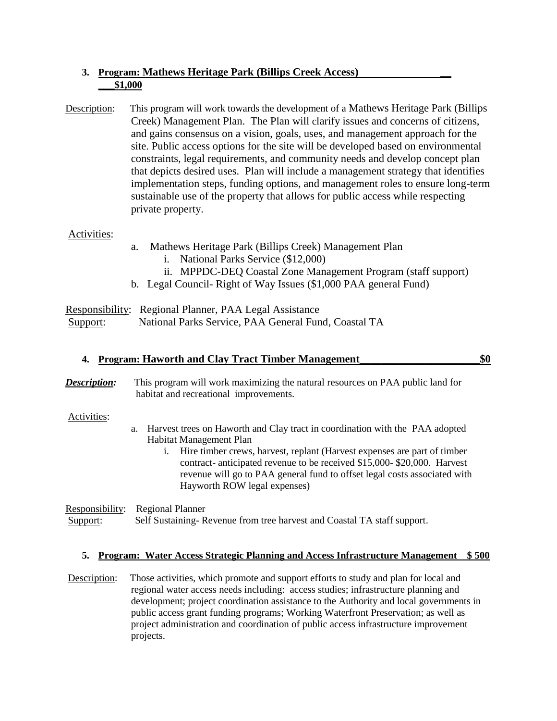# **3. Program: Mathews Heritage Park (Billips Creek Access) \_\_ \_\_\_\$1,000**

Description: This program will work towards the development of a Mathews Heritage Park (Billips Creek) Management Plan. The Plan will clarify issues and concerns of citizens, and gains consensus on a vision, goals, uses, and management approach for the site. Public access options for the site will be developed based on environmental constraints, legal requirements, and community needs and develop concept plan that depicts desired uses. Plan will include a management strategy that identifies implementation steps, funding options, and management roles to ensure long-term sustainable use of the property that allows for public access while respecting private property.

## Activities:

- a. Mathews Heritage Park (Billips Creek) Management Plan
	- i. National Parks Service (\$12,000)
	- ii. MPPDC-DEQ Coastal Zone Management Program (staff support)
- b. Legal Council- Right of Way Issues (\$1,000 PAA general Fund)

Responsibility: Regional Planner, PAA Legal Assistance Support: National Parks Service, PAA General Fund, Coastal TA

### **4. Program: Haworth and Clay Tract Timber Management\_\_\_\_\_\_\_\_\_\_\_\_\_\_\_\_\_\_\_\_\_\_\$0**

*Description:* This program will work maximizing the natural resources on PAA public land for habitat and recreational improvements.

### Activities:

- a. Harvest trees on Haworth and Clay tract in coordination with the PAA adopted Habitat Management Plan
	- i. Hire timber crews, harvest, replant (Harvest expenses are part of timber contract- anticipated revenue to be received \$15,000- \$20,000. Harvest revenue will go to PAA general fund to offset legal costs associated with Hayworth ROW legal expenses)

Responsibility: Regional Planner

Support: Self Sustaining- Revenue from tree harvest and Coastal TA staff support.

### **5. Program: Water Access Strategic Planning and Access Infrastructure Management \$ 500**

Description: Those activities, which promote and support efforts to study and plan for local and regional water access needs including: access studies; infrastructure planning and development; project coordination assistance to the Authority and local governments in public access grant funding programs; Working Waterfront Preservation; as well as project administration and coordination of public access infrastructure improvement projects.